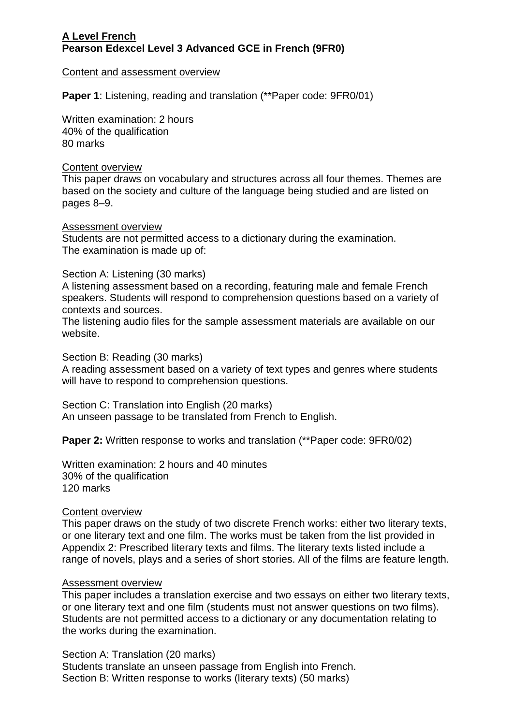## **A Level French Pearson Edexcel Level 3 Advanced GCE in French (9FR0)**

### Content and assessment overview

**Paper 1**: Listening, reading and translation (\*\*Paper code: 9FR0/01)

Written examination: 2 hours 40% of the qualification 80 marks

### Content overview

This paper draws on vocabulary and structures across all four themes. Themes are based on the society and culture of the language being studied and are listed on pages 8–9.

# Assessment overview

Students are not permitted access to a dictionary during the examination. The examination is made up of:

### Section A: Listening (30 marks)

A listening assessment based on a recording, featuring male and female French speakers. Students will respond to comprehension questions based on a variety of contexts and sources.

The listening audio files for the sample assessment materials are available on our website.

Section B: Reading (30 marks)

A reading assessment based on a variety of text types and genres where students will have to respond to comprehension questions.

Section C: Translation into English (20 marks) An unseen passage to be translated from French to English.

**Paper 2:** Written response to works and translation (\*\*Paper code: 9FR0/02)

Written examination: 2 hours and 40 minutes 30% of the qualification 120 marks

#### Content overview

This paper draws on the study of two discrete French works: either two literary texts, or one literary text and one film. The works must be taken from the list provided in Appendix 2: Prescribed literary texts and films. The literary texts listed include a range of novels, plays and a series of short stories. All of the films are feature length.

#### Assessment overview

This paper includes a translation exercise and two essays on either two literary texts, or one literary text and one film (students must not answer questions on two films). Students are not permitted access to a dictionary or any documentation relating to the works during the examination.

Section A: Translation (20 marks)

Students translate an unseen passage from English into French. Section B: Written response to works (literary texts) (50 marks)